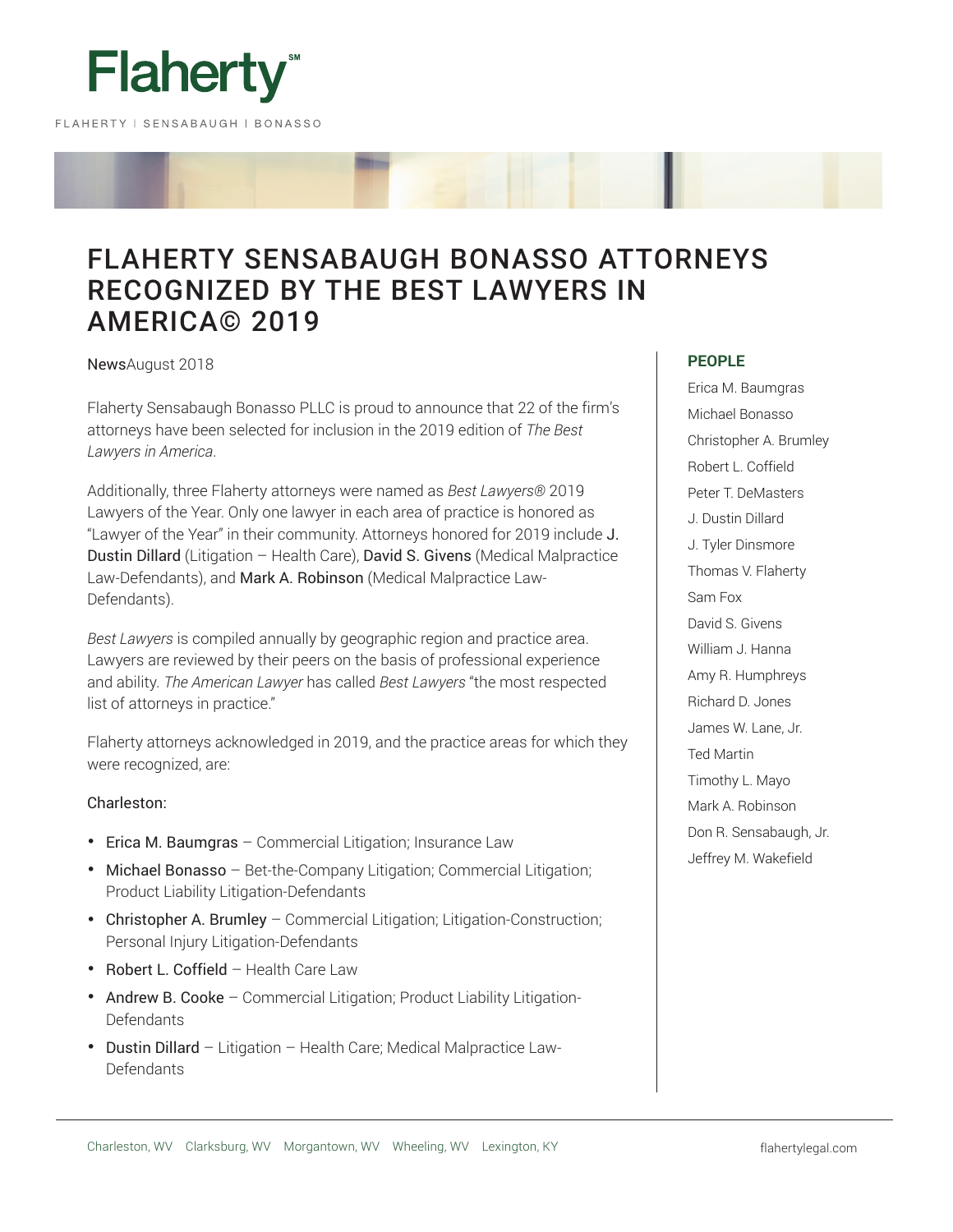

# FLAHERTY SENSABAUGH BONASSO ATTORNEYS RECOGNIZED BY THE BEST LAWYERS IN AMERICA© 2019

NewsAugust 2018

Flaherty Sensabaugh Bonasso PLLC is proud to announce that 22 of the firm's attorneys have been selected for inclusion in the 2019 edition of *The Best Lawyers in America*.

Additionally, three Flaherty attorneys were named as *Best Lawyers®* 2019 Lawyers of the Year. Only one lawyer in each area of practice is honored as "Lawyer of the Year" in their community. Attorneys honored for 2019 include J. Dustin Dillard (Litigation – Health Care), David S. Givens (Medical Malpractice Law-Defendants), and Mark A. Robinson (Medical Malpractice Law-Defendants).

*Best Lawyers* is compiled annually by geographic region and practice area. Lawyers are reviewed by their peers on the basis of professional experience and ability. *The American Lawyer* has called *Best Lawyers* "the most respected list of attorneys in practice."

Flaherty attorneys acknowledged in 2019, and the practice areas for which they were recognized, are:

# Charleston:

- Erica M. Baumgras Commercial Litigation; Insurance Law
- Michael Bonasso Bet-the-Company Litigation; Commercial Litigation; Product Liability Litigation-Defendants
- Christopher A. Brumley Commercial Litigation; Litigation-Construction; Personal Injury Litigation-Defendants
- Robert L. Coffield Health Care Law
- Andrew B. Cooke Commercial Litigation; Product Liability Litigation-Defendants
- Dustin Dillard Litigation Health Care; Medical Malpractice Law-Defendants

### **PEOPLE**

Erica M. Baumgras Michael Bonasso Christopher A. Brumley Robert L. Coffield Peter T. DeMasters J. Dustin Dillard J. Tyler Dinsmore Thomas V. Flaherty Sam Fox David S. Givens William J. Hanna Amy R. Humphreys Richard D. Jones James W. Lane, Jr. Ted Martin Timothy L. Mayo Mark A. Robinson Don R. Sensabaugh, Jr. Jeffrey M. Wakefield